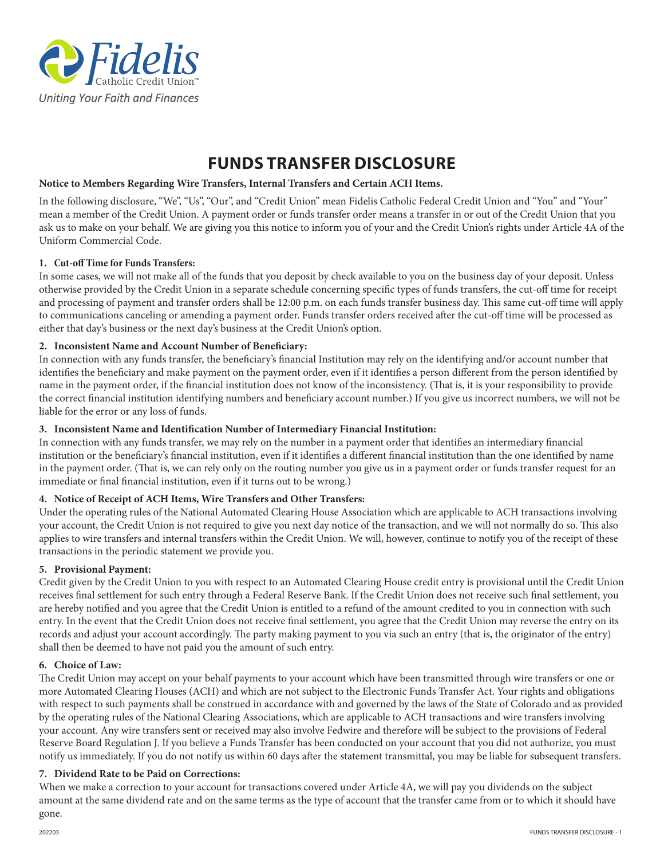

# **FUNDS TRANSFER DISCLOSURE**

## **Notice to Members Regarding Wire Transfers, Internal Transfers and Certain ACH Items.**

In the following disclosure, "We", "Us", "Our", and "Credit Union" mean Fidelis Catholic Federal Credit Union and "You" and "Your" mean a member of the Credit Union. A payment order or funds transfer order means a transfer in or out of the Credit Union that you ask us to make on your behalf. We are giving you this notice to inform you of your and the Credit Union's rights under Article 4A of the Uniform Commercial Code.

#### **1. Cut-off Time for Funds Transfers:**

In some cases, we will not make all of the funds that you deposit by check available to you on the business day of your deposit. Unless otherwise provided by the Credit Union in a separate schedule concerning specific types of funds transfers, the cut-off time for receipt and processing of payment and transfer orders shall be 12:00 p.m. on each funds transfer business day. This same cut-off time will apply to communications canceling or amending a payment order. Funds transfer orders received after the cut-off time will be processed as either that day's business or the next day's business at the Credit Union's option.

# **2. Inconsistent Name and Account Number of Beneficiary:**

In connection with any funds transfer, the beneficiary's financial Institution may rely on the identifying and/or account number that identifies the beneficiary and make payment on the payment order, even if it identifies a person different from the person identified by name in the payment order, if the financial institution does not know of the inconsistency. (That is, it is your responsibility to provide the correct financial institution identifying numbers and beneficiary account number.) If you give us incorrect numbers, we will not be liable for the error or any loss of funds.

## **3. Inconsistent Name and Identification Number of Intermediary Financial Institution:**

In connection with any funds transfer, we may rely on the number in a payment order that identifies an intermediary financial institution or the beneficiary's financial institution, even if it identifies a different financial institution than the one identified by name in the payment order. (That is, we can rely only on the routing number you give us in a payment order or funds transfer request for an immediate or final financial institution, even if it turns out to be wrong.)

#### **4. Notice of Receipt of ACH Items, Wire Transfers and Other Transfers:**

Under the operating rules of the National Automated Clearing House Association which are applicable to ACH transactions involving your account, the Credit Union is not required to give you next day notice of the transaction, and we will not normally do so. This also applies to wire transfers and internal transfers within the Credit Union. We will, however, continue to notify you of the receipt of these transactions in the periodic statement we provide you.

#### **5. Provisional Payment:**

Credit given by the Credit Union to you with respect to an Automated Clearing House credit entry is provisional until the Credit Union receives final settlement for such entry through a Federal Reserve Bank. If the Credit Union does not receive such final settlement, you are hereby notified and you agree that the Credit Union is entitled to a refund of the amount credited to you in connection with such entry. In the event that the Credit Union does not receive final settlement, you agree that the Credit Union may reverse the entry on its records and adjust your account accordingly. The party making payment to you via such an entry (that is, the originator of the entry) shall then be deemed to have not paid you the amount of such entry.

#### **6. Choice of Law:**

The Credit Union may accept on your behalf payments to your account which have been transmitted through wire transfers or one or more Automated Clearing Houses (ACH) and which are not subject to the Electronic Funds Transfer Act. Your rights and obligations with respect to such payments shall be construed in accordance with and governed by the laws of the State of Colorado and as provided by the operating rules of the National Clearing Associations, which are applicable to ACH transactions and wire transfers involving your account. Any wire transfers sent or received may also involve Fedwire and therefore will be subject to the provisions of Federal Reserve Board Regulation J. If you believe a Funds Transfer has been conducted on your account that you did not authorize, you must notify us immediately. If you do not notify us within 60 days after the statement transmittal, you may be liable for subsequent transfers.

#### **7. Dividend Rate to be Paid on Corrections:**

When we make a correction to your account for transactions covered under Article 4A, we will pay you dividends on the subject amount at the same dividend rate and on the same terms as the type of account that the transfer came from or to which it should have gone.